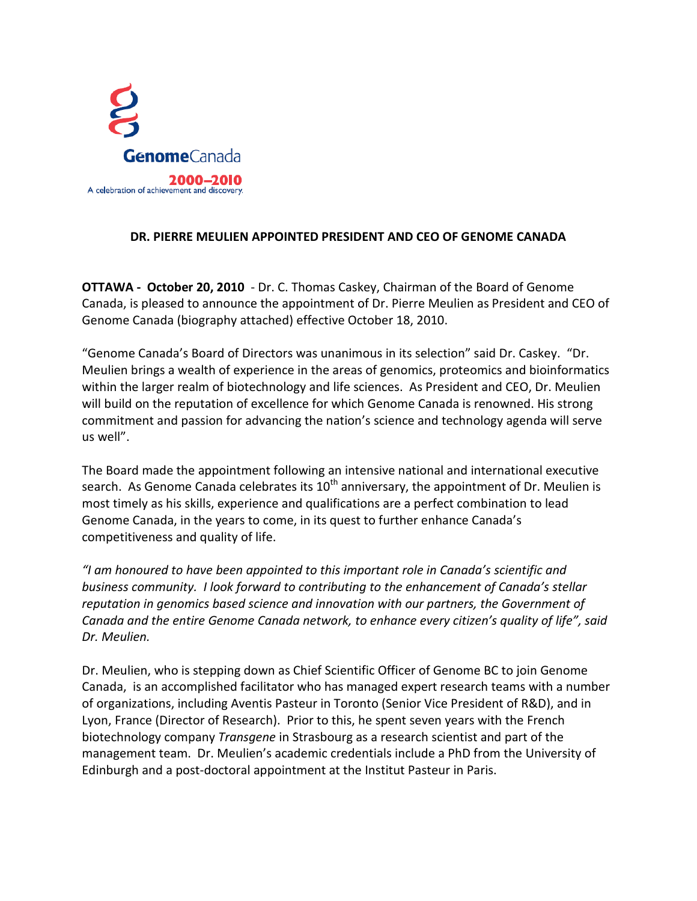

## **DR. PIERRE MEULIEN APPOINTED PRESIDENT AND CEO OF GENOME CANADA**

**OTTAWA - October 20, 2010** - Dr. C. Thomas Caskey, Chairman of the Board of Genome Canada, is pleased to announce the appointment of Dr. Pierre Meulien as President and CEO of Genome Canada (biography attached) effective October 18, 2010.

"Genome Canada's Board of Directors was unanimous in its selection" said Dr. Caskey. "Dr. Meulien brings a wealth of experience in the areas of genomics, proteomics and bioinformatics within the larger realm of biotechnology and life sciences. As President and CEO, Dr. Meulien will build on the reputation of excellence for which Genome Canada is renowned. His strong commitment and passion for advancing the nation's science and technology agenda will serve us well".

The Board made the appointment following an intensive national and international executive search. As Genome Canada celebrates its  $10^{th}$  anniversary, the appointment of Dr. Meulien is most timely as his skills, experience and qualifications are a perfect combination to lead Genome Canada, in the years to come, in its quest to further enhance Canada's competitiveness and quality of life.

*"I am honoured to have been appointed to this important role in Canada's scientific and business community. I look forward to contributing to the enhancement of Canada's stellar reputation in genomics based science and innovation with our partners, the Government of Canada and the entire Genome Canada network, to enhance every citizen's quality of life", said Dr. Meulien.* 

Dr. Meulien, who is stepping down as Chief Scientific Officer of Genome BC to join Genome Canada, is an accomplished facilitator who has managed expert research teams with a number of organizations, including Aventis Pasteur in Toronto (Senior Vice President of R&D), and in Lyon, France (Director of Research). Prior to this, he spent seven years with the French biotechnology company *Transgene* in Strasbourg as a research scientist and part of the management team. Dr. Meulien's academic credentials include a PhD from the University of Edinburgh and a post-doctoral appointment at the Institut Pasteur in Paris.